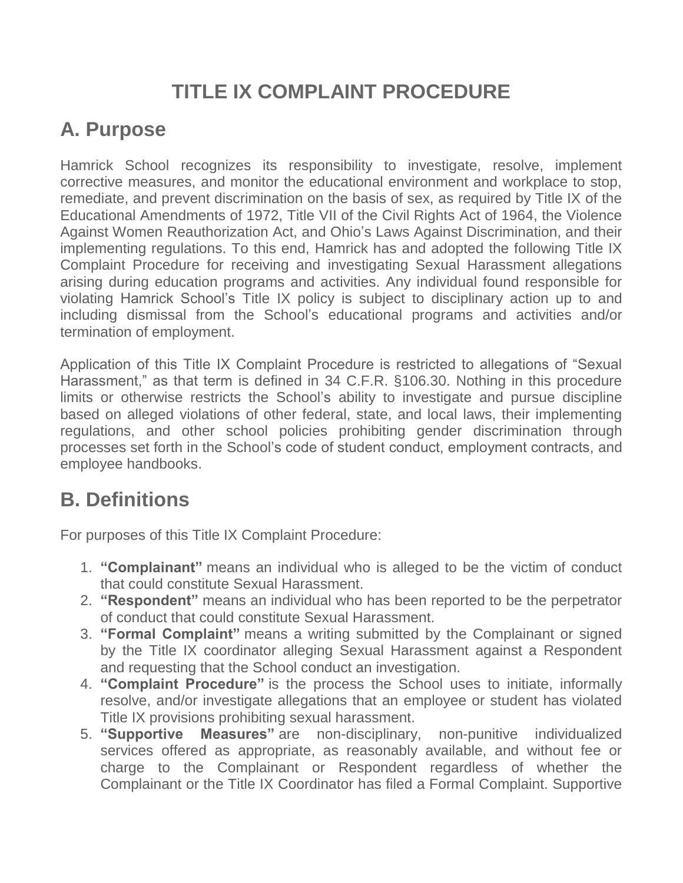# **TITLE IX COMPLAINT PROCEDURE**

# **A. Purpose**

Hamrick School recognizes its responsibility to investigate, resolve, implement corrective measures, and monitor the educational environment and workplace to stop, remediate, and prevent discrimination on the basis of sex, as required by Title IX of the Educational Amendments of 1972, Title VII of the Civil Rights Act of 1964, the Violence Against Women Reauthorization Act, and Ohio's Laws Against Discrimination, and their implementing regulations. To this end, Hamrick has and adopted the following Title IX Complaint Procedure for receiving and investigating Sexual Harassment allegations arising during education programs and activities. Any individual found responsible for violating Hamrick School's Title IX policy is subject to disciplinary action up to and including dismissal from the School's educational programs and activities and/or termination of employment.

Application of this Title IX Complaint Procedure is restricted to allegations of "Sexual Harassment," as that term is defined in 34 C.F.R. §106.30. Nothing in this procedure limits or otherwise restricts the School's ability to investigate and pursue discipline based on alleged violations of other federal, state, and local laws, their implementing regulations, and other school policies prohibiting gender discrimination through processes set forth in the School's code of student conduct, employment contracts, and employee handbooks.

## **B. Definitions**

For purposes of this Title IX Complaint Procedure:

- 1. **"Complainant"** means an individual who is alleged to be the victim of conduct that could constitute Sexual Harassment.
- 2. **"Respondent"** means an individual who has been reported to be the perpetrator of conduct that could constitute Sexual Harassment.
- 3. **"Formal Complaint"** means a writing submitted by the Complainant or signed by the Title IX coordinator alleging Sexual Harassment against a Respondent and requesting that the School conduct an investigation.
- 4. **"Complaint Procedure"** is the process the School uses to initiate, informally resolve, and/or investigate allegations that an employee or student has violated Title IX provisions prohibiting sexual harassment.
- 5. **"Supportive Measures"** are non-disciplinary, non-punitive individualized services offered as appropriate, as reasonably available, and without fee or charge to the Complainant or Respondent regardless of whether the Complainant or the Title IX Coordinator has filed a Formal Complaint. Supportive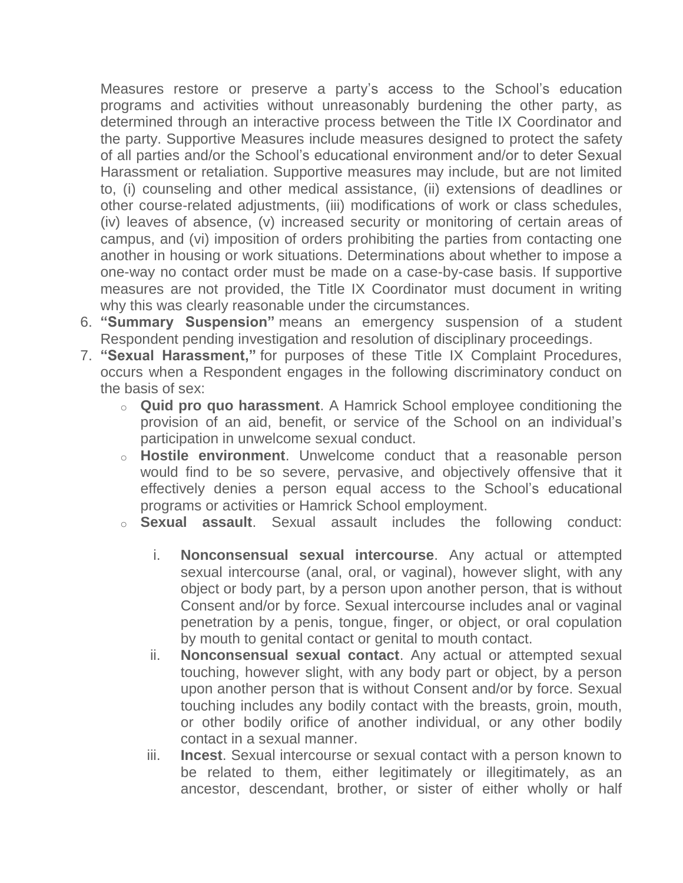Measures restore or preserve a party's access to the School's education programs and activities without unreasonably burdening the other party, as determined through an interactive process between the Title IX Coordinator and the party. Supportive Measures include measures designed to protect the safety of all parties and/or the School's educational environment and/or to deter Sexual Harassment or retaliation. Supportive measures may include, but are not limited to, (i) counseling and other medical assistance, (ii) extensions of deadlines or other course-related adjustments, (iii) modifications of work or class schedules, (iv) leaves of absence, (v) increased security or monitoring of certain areas of campus, and (vi) imposition of orders prohibiting the parties from contacting one another in housing or work situations. Determinations about whether to impose a one-way no contact order must be made on a case-by-case basis. If supportive measures are not provided, the Title IX Coordinator must document in writing why this was clearly reasonable under the circumstances.

- 6. **"Summary Suspension"** means an emergency suspension of a student Respondent pending investigation and resolution of disciplinary proceedings.
- 7. **"Sexual Harassment,"** for purposes of these Title IX Complaint Procedures, occurs when a Respondent engages in the following discriminatory conduct on the basis of sex:
	- o **Quid pro quo harassment**. A Hamrick School employee conditioning the provision of an aid, benefit, or service of the School on an individual's participation in unwelcome sexual conduct.
	- o **Hostile environment**. Unwelcome conduct that a reasonable person would find to be so severe, pervasive, and objectively offensive that it effectively denies a person equal access to the School's educational programs or activities or Hamrick School employment.
	- o **Sexual assault**. Sexual assault includes the following conduct:
		- i. **Nonconsensual sexual intercourse**. Any actual or attempted sexual intercourse (anal, oral, or vaginal), however slight, with any object or body part, by a person upon another person, that is without Consent and/or by force. Sexual intercourse includes anal or vaginal penetration by a penis, tongue, finger, or object, or oral copulation by mouth to genital contact or genital to mouth contact.
		- ii. **Nonconsensual sexual contact**. Any actual or attempted sexual touching, however slight, with any body part or object, by a person upon another person that is without Consent and/or by force. Sexual touching includes any bodily contact with the breasts, groin, mouth, or other bodily orifice of another individual, or any other bodily contact in a sexual manner.
		- iii. **Incest**. Sexual intercourse or sexual contact with a person known to be related to them, either legitimately or illegitimately, as an ancestor, descendant, brother, or sister of either wholly or half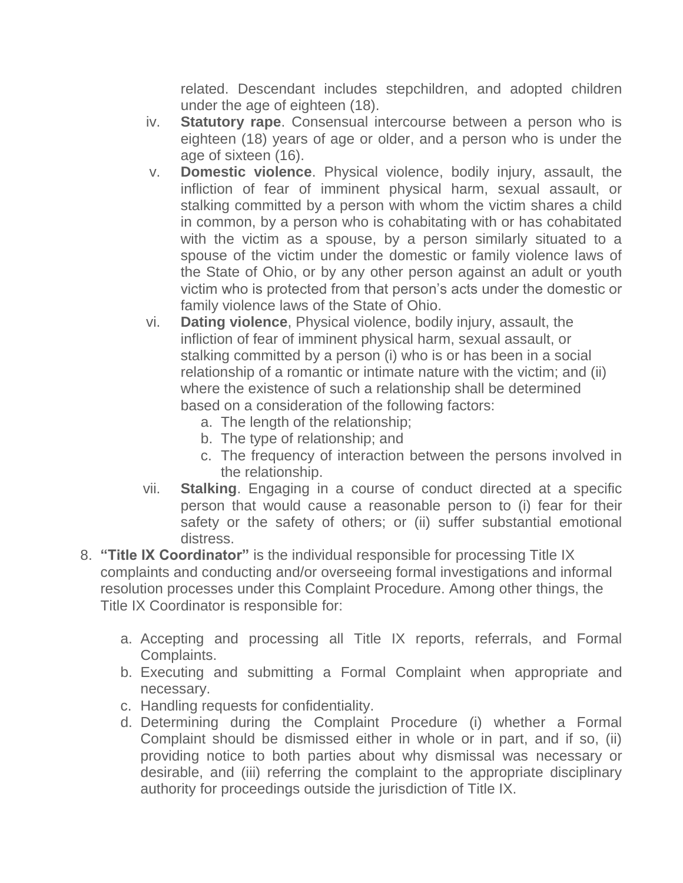related. Descendant includes stepchildren, and adopted children under the age of eighteen (18).

- iv. **Statutory rape**. Consensual intercourse between a person who is eighteen (18) years of age or older, and a person who is under the age of sixteen (16).
- v. **Domestic violence**. Physical violence, bodily injury, assault, the infliction of fear of imminent physical harm, sexual assault, or stalking committed by a person with whom the victim shares a child in common, by a person who is cohabitating with or has cohabitated with the victim as a spouse, by a person similarly situated to a spouse of the victim under the domestic or family violence laws of the State of Ohio, or by any other person against an adult or youth victim who is protected from that person's acts under the domestic or family violence laws of the State of Ohio.
- vi. **Dating violence**, Physical violence, bodily injury, assault, the infliction of fear of imminent physical harm, sexual assault, or stalking committed by a person (i) who is or has been in a social relationship of a romantic or intimate nature with the victim; and (ii) where the existence of such a relationship shall be determined based on a consideration of the following factors:
	- a. The length of the relationship;
	- b. The type of relationship; and
	- c. The frequency of interaction between the persons involved in the relationship.
- vii. **Stalking**. Engaging in a course of conduct directed at a specific person that would cause a reasonable person to (i) fear for their safety or the safety of others; or (ii) suffer substantial emotional distress.
- 8. **"Title IX Coordinator"** is the individual responsible for processing Title IX complaints and conducting and/or overseeing formal investigations and informal resolution processes under this Complaint Procedure. Among other things, the Title IX Coordinator is responsible for:
	- a. Accepting and processing all Title IX reports, referrals, and Formal Complaints.
	- b. Executing and submitting a Formal Complaint when appropriate and necessary.
	- c. Handling requests for confidentiality.
	- d. Determining during the Complaint Procedure (i) whether a Formal Complaint should be dismissed either in whole or in part, and if so, (ii) providing notice to both parties about why dismissal was necessary or desirable, and (iii) referring the complaint to the appropriate disciplinary authority for proceedings outside the jurisdiction of Title IX.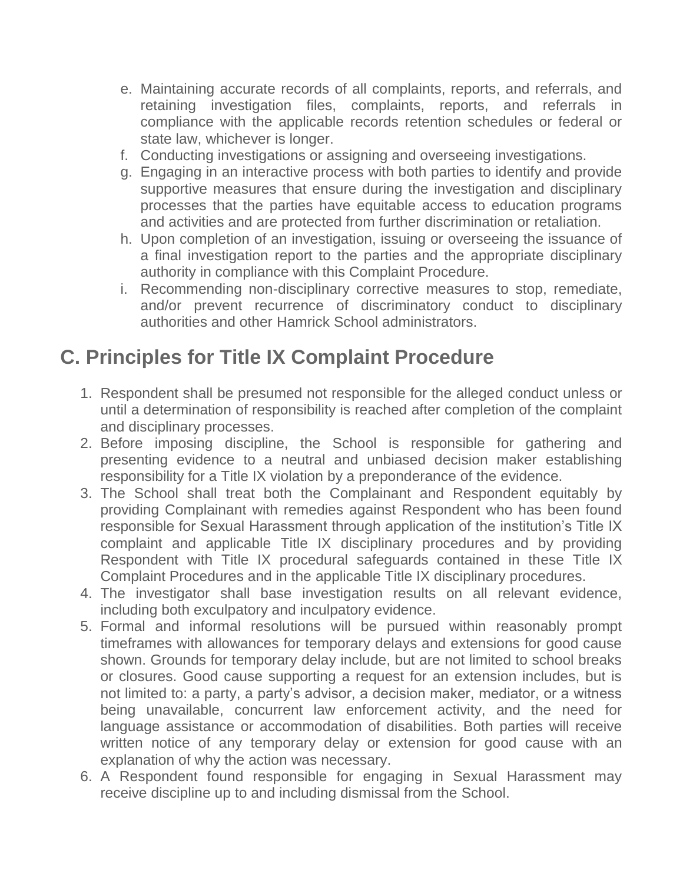- e. Maintaining accurate records of all complaints, reports, and referrals, and retaining investigation files, complaints, reports, and referrals in compliance with the applicable records retention schedules or federal or state law, whichever is longer.
- f. Conducting investigations or assigning and overseeing investigations.
- g. Engaging in an interactive process with both parties to identify and provide supportive measures that ensure during the investigation and disciplinary processes that the parties have equitable access to education programs and activities and are protected from further discrimination or retaliation.
- h. Upon completion of an investigation, issuing or overseeing the issuance of a final investigation report to the parties and the appropriate disciplinary authority in compliance with this Complaint Procedure.
- i. Recommending non-disciplinary corrective measures to stop, remediate, and/or prevent recurrence of discriminatory conduct to disciplinary authorities and other Hamrick School administrators.

## **C. Principles for Title IX Complaint Procedure**

- 1. Respondent shall be presumed not responsible for the alleged conduct unless or until a determination of responsibility is reached after completion of the complaint and disciplinary processes.
- 2. Before imposing discipline, the School is responsible for gathering and presenting evidence to a neutral and unbiased decision maker establishing responsibility for a Title IX violation by a preponderance of the evidence.
- 3. The School shall treat both the Complainant and Respondent equitably by providing Complainant with remedies against Respondent who has been found responsible for Sexual Harassment through application of the institution's Title IX complaint and applicable Title IX disciplinary procedures and by providing Respondent with Title IX procedural safeguards contained in these Title IX Complaint Procedures and in the applicable Title IX disciplinary procedures.
- 4. The investigator shall base investigation results on all relevant evidence, including both exculpatory and inculpatory evidence.
- 5. Formal and informal resolutions will be pursued within reasonably prompt timeframes with allowances for temporary delays and extensions for good cause shown. Grounds for temporary delay include, but are not limited to school breaks or closures. Good cause supporting a request for an extension includes, but is not limited to: a party, a party's advisor, a decision maker, mediator, or a witness being unavailable, concurrent law enforcement activity, and the need for language assistance or accommodation of disabilities. Both parties will receive written notice of any temporary delay or extension for good cause with an explanation of why the action was necessary.
- 6. A Respondent found responsible for engaging in Sexual Harassment may receive discipline up to and including dismissal from the School.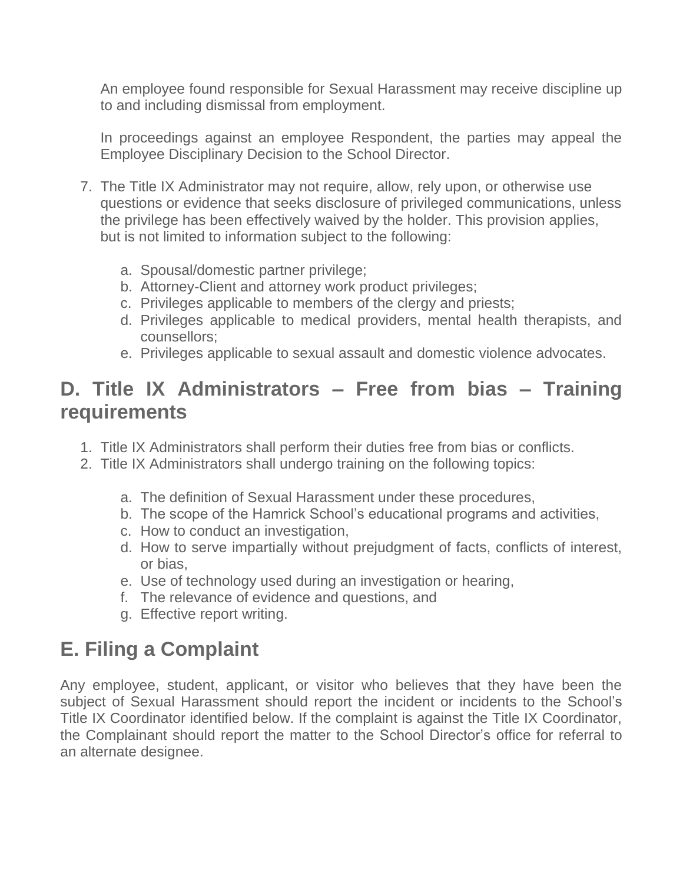An employee found responsible for Sexual Harassment may receive discipline up to and including dismissal from employment.

In proceedings against an employee Respondent, the parties may appeal the Employee Disciplinary Decision to the School Director.

- 7. The Title IX Administrator may not require, allow, rely upon, or otherwise use questions or evidence that seeks disclosure of privileged communications, unless the privilege has been effectively waived by the holder. This provision applies, but is not limited to information subject to the following:
	- a. Spousal/domestic partner privilege;
	- b. Attorney-Client and attorney work product privileges;
	- c. Privileges applicable to members of the clergy and priests;
	- d. Privileges applicable to medical providers, mental health therapists, and counsellors;
	- e. Privileges applicable to sexual assault and domestic violence advocates.

## **D. Title IX Administrators – Free from bias – Training requirements**

- 1. Title IX Administrators shall perform their duties free from bias or conflicts.
- 2. Title IX Administrators shall undergo training on the following topics:
	- a. The definition of Sexual Harassment under these procedures,
	- b. The scope of the Hamrick School's educational programs and activities,
	- c. How to conduct an investigation,
	- d. How to serve impartially without prejudgment of facts, conflicts of interest, or bias,
	- e. Use of technology used during an investigation or hearing,
	- f. The relevance of evidence and questions, and
	- g. Effective report writing.

# **E. Filing a Complaint**

Any employee, student, applicant, or visitor who believes that they have been the subject of Sexual Harassment should report the incident or incidents to the School's Title IX Coordinator identified below. If the complaint is against the Title IX Coordinator, the Complainant should report the matter to the School Director's office for referral to an alternate designee.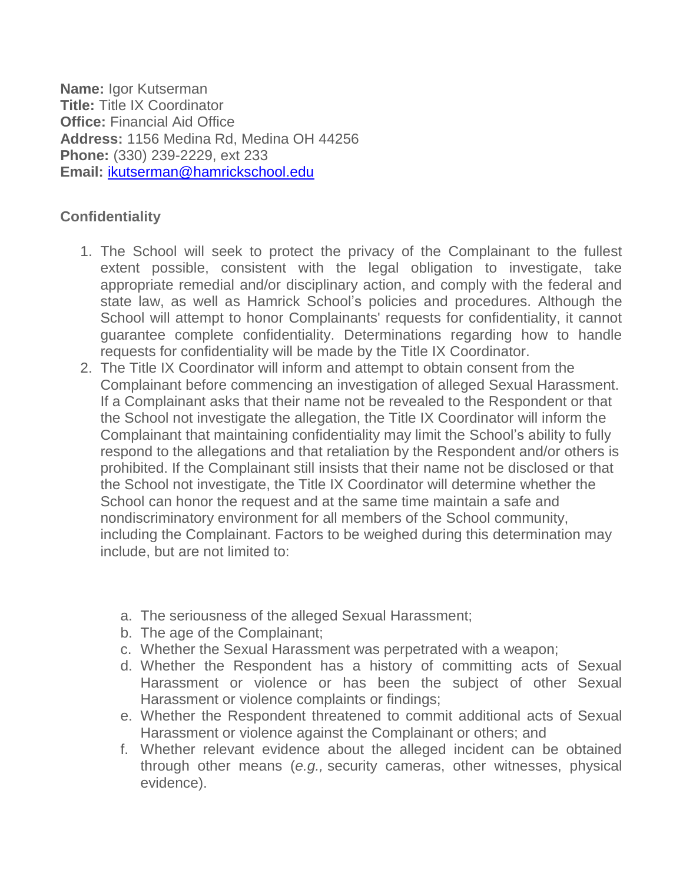**Name:** Igor Kutserman **Title:** Title IX Coordinator **Office:** Financial Aid Office **Address:** 1156 Medina Rd, Medina OH 44256 **Phone:** (330) 239-2229, ext 233 **Email:** [ikutserman@hamrickschool.edu](mailto:ikutserman@hamrickschool.edu)

#### **Confidentiality**

- 1. The School will seek to protect the privacy of the Complainant to the fullest extent possible, consistent with the legal obligation to investigate, take appropriate remedial and/or disciplinary action, and comply with the federal and state law, as well as Hamrick School's policies and procedures. Although the School will attempt to honor Complainants' requests for confidentiality, it cannot guarantee complete confidentiality. Determinations regarding how to handle requests for confidentiality will be made by the Title IX Coordinator.
- 2. The Title IX Coordinator will inform and attempt to obtain consent from the Complainant before commencing an investigation of alleged Sexual Harassment. If a Complainant asks that their name not be revealed to the Respondent or that the School not investigate the allegation, the Title IX Coordinator will inform the Complainant that maintaining confidentiality may limit the School's ability to fully respond to the allegations and that retaliation by the Respondent and/or others is prohibited. If the Complainant still insists that their name not be disclosed or that the School not investigate, the Title IX Coordinator will determine whether the School can honor the request and at the same time maintain a safe and nondiscriminatory environment for all members of the School community, including the Complainant. Factors to be weighed during this determination may include, but are not limited to:
	- a. The seriousness of the alleged Sexual Harassment;
	- b. The age of the Complainant;
	- c. Whether the Sexual Harassment was perpetrated with a weapon;
	- d. Whether the Respondent has a history of committing acts of Sexual Harassment or violence or has been the subject of other Sexual Harassment or violence complaints or findings;
	- e. Whether the Respondent threatened to commit additional acts of Sexual Harassment or violence against the Complainant or others; and
	- f. Whether relevant evidence about the alleged incident can be obtained through other means (*e.g.,* security cameras, other witnesses, physical evidence).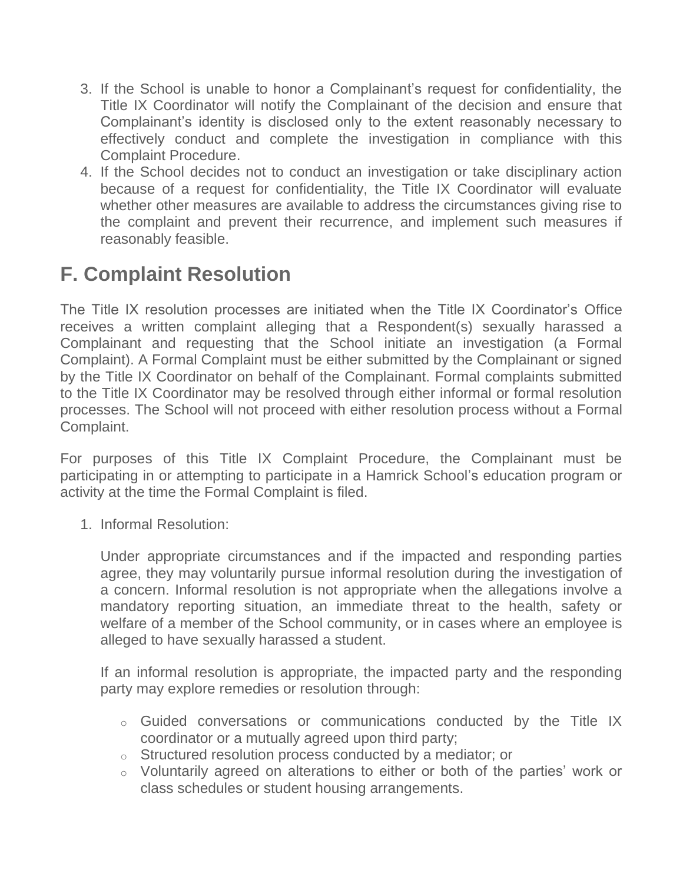- 3. If the School is unable to honor a Complainant's request for confidentiality, the Title IX Coordinator will notify the Complainant of the decision and ensure that Complainant's identity is disclosed only to the extent reasonably necessary to effectively conduct and complete the investigation in compliance with this Complaint Procedure.
- 4. If the School decides not to conduct an investigation or take disciplinary action because of a request for confidentiality, the Title IX Coordinator will evaluate whether other measures are available to address the circumstances giving rise to the complaint and prevent their recurrence, and implement such measures if reasonably feasible.

# **F. Complaint Resolution**

The Title IX resolution processes are initiated when the Title IX Coordinator's Office receives a written complaint alleging that a Respondent(s) sexually harassed a Complainant and requesting that the School initiate an investigation (a Formal Complaint). A Formal Complaint must be either submitted by the Complainant or signed by the Title IX Coordinator on behalf of the Complainant. Formal complaints submitted to the Title IX Coordinator may be resolved through either informal or formal resolution processes. The School will not proceed with either resolution process without a Formal Complaint.

For purposes of this Title IX Complaint Procedure, the Complainant must be participating in or attempting to participate in a Hamrick School's education program or activity at the time the Formal Complaint is filed.

1. Informal Resolution:

Under appropriate circumstances and if the impacted and responding parties agree, they may voluntarily pursue informal resolution during the investigation of a concern. Informal resolution is not appropriate when the allegations involve a mandatory reporting situation, an immediate threat to the health, safety or welfare of a member of the School community, or in cases where an employee is alleged to have sexually harassed a student.

If an informal resolution is appropriate, the impacted party and the responding party may explore remedies or resolution through:

- o Guided conversations or communications conducted by the Title IX coordinator or a mutually agreed upon third party;
- o Structured resolution process conducted by a mediator; or
- o Voluntarily agreed on alterations to either or both of the parties' work or class schedules or student housing arrangements.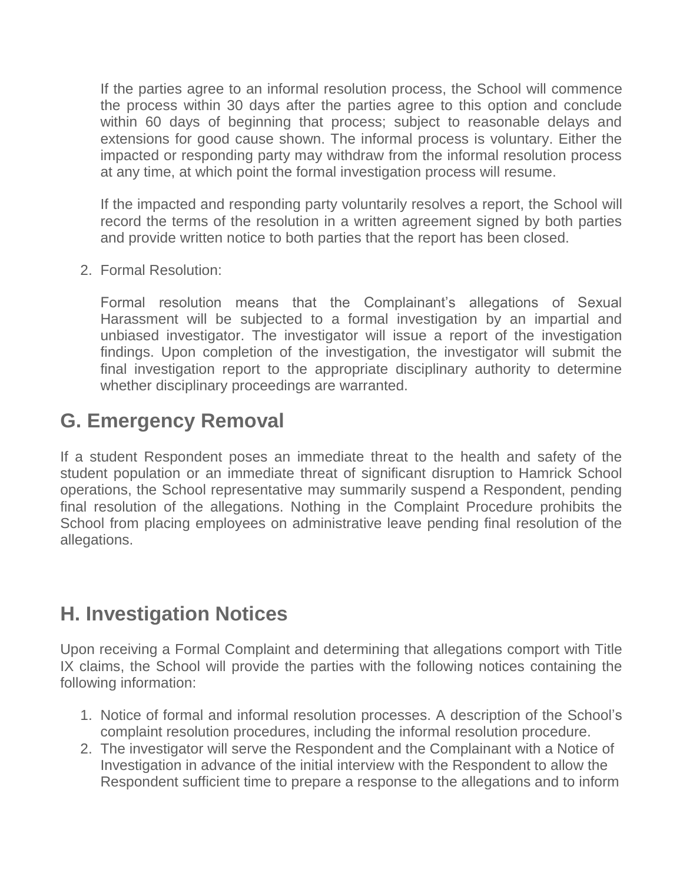If the parties agree to an informal resolution process, the School will commence the process within 30 days after the parties agree to this option and conclude within 60 days of beginning that process; subject to reasonable delays and extensions for good cause shown. The informal process is voluntary. Either the impacted or responding party may withdraw from the informal resolution process at any time, at which point the formal investigation process will resume.

If the impacted and responding party voluntarily resolves a report, the School will record the terms of the resolution in a written agreement signed by both parties and provide written notice to both parties that the report has been closed.

2. Formal Resolution:

Formal resolution means that the Complainant's allegations of Sexual Harassment will be subjected to a formal investigation by an impartial and unbiased investigator. The investigator will issue a report of the investigation findings. Upon completion of the investigation, the investigator will submit the final investigation report to the appropriate disciplinary authority to determine whether disciplinary proceedings are warranted.

#### **G. Emergency Removal**

If a student Respondent poses an immediate threat to the health and safety of the student population or an immediate threat of significant disruption to Hamrick School operations, the School representative may summarily suspend a Respondent, pending final resolution of the allegations. Nothing in the Complaint Procedure prohibits the School from placing employees on administrative leave pending final resolution of the allegations.

#### **H. Investigation Notices**

Upon receiving a Formal Complaint and determining that allegations comport with Title IX claims, the School will provide the parties with the following notices containing the following information:

- 1. Notice of formal and informal resolution processes. A description of the School's complaint resolution procedures, including the informal resolution procedure.
- 2. The investigator will serve the Respondent and the Complainant with a Notice of Investigation in advance of the initial interview with the Respondent to allow the Respondent sufficient time to prepare a response to the allegations and to inform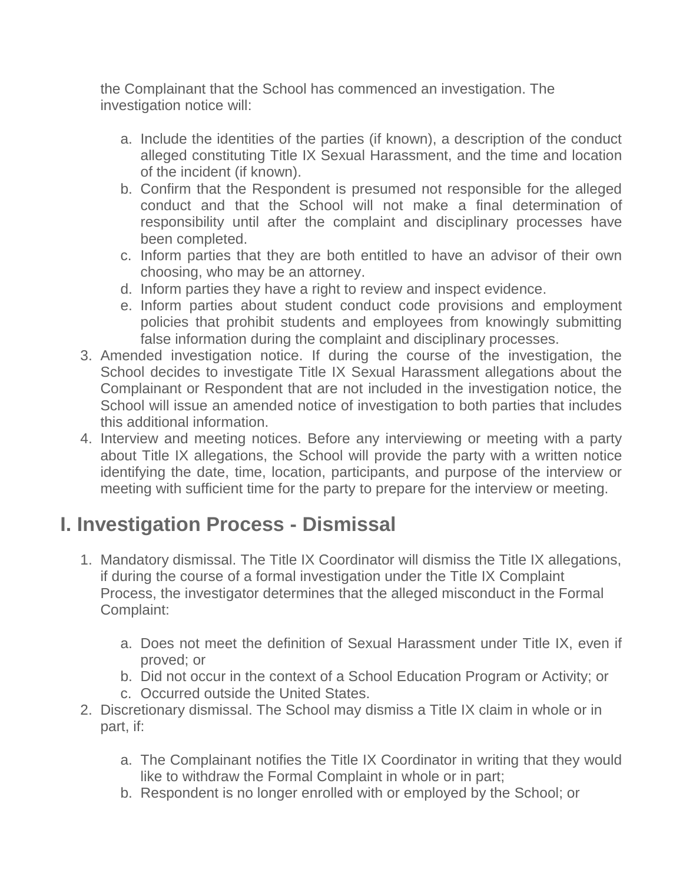the Complainant that the School has commenced an investigation. The investigation notice will:

- a. Include the identities of the parties (if known), a description of the conduct alleged constituting Title IX Sexual Harassment, and the time and location of the incident (if known).
- b. Confirm that the Respondent is presumed not responsible for the alleged conduct and that the School will not make a final determination of responsibility until after the complaint and disciplinary processes have been completed.
- c. Inform parties that they are both entitled to have an advisor of their own choosing, who may be an attorney.
- d. Inform parties they have a right to review and inspect evidence.
- e. Inform parties about student conduct code provisions and employment policies that prohibit students and employees from knowingly submitting false information during the complaint and disciplinary processes.
- 3. Amended investigation notice. If during the course of the investigation, the School decides to investigate Title IX Sexual Harassment allegations about the Complainant or Respondent that are not included in the investigation notice, the School will issue an amended notice of investigation to both parties that includes this additional information.
- 4. Interview and meeting notices. Before any interviewing or meeting with a party about Title IX allegations, the School will provide the party with a written notice identifying the date, time, location, participants, and purpose of the interview or meeting with sufficient time for the party to prepare for the interview or meeting.

# **I. Investigation Process - Dismissal**

- 1. Mandatory dismissal. The Title IX Coordinator will dismiss the Title IX allegations, if during the course of a formal investigation under the Title IX Complaint Process, the investigator determines that the alleged misconduct in the Formal Complaint:
	- a. Does not meet the definition of Sexual Harassment under Title IX, even if proved; or
	- b. Did not occur in the context of a School Education Program or Activity; or
	- c. Occurred outside the United States.
- 2. Discretionary dismissal. The School may dismiss a Title IX claim in whole or in part, if:
	- a. The Complainant notifies the Title IX Coordinator in writing that they would like to withdraw the Formal Complaint in whole or in part;
	- b. Respondent is no longer enrolled with or employed by the School; or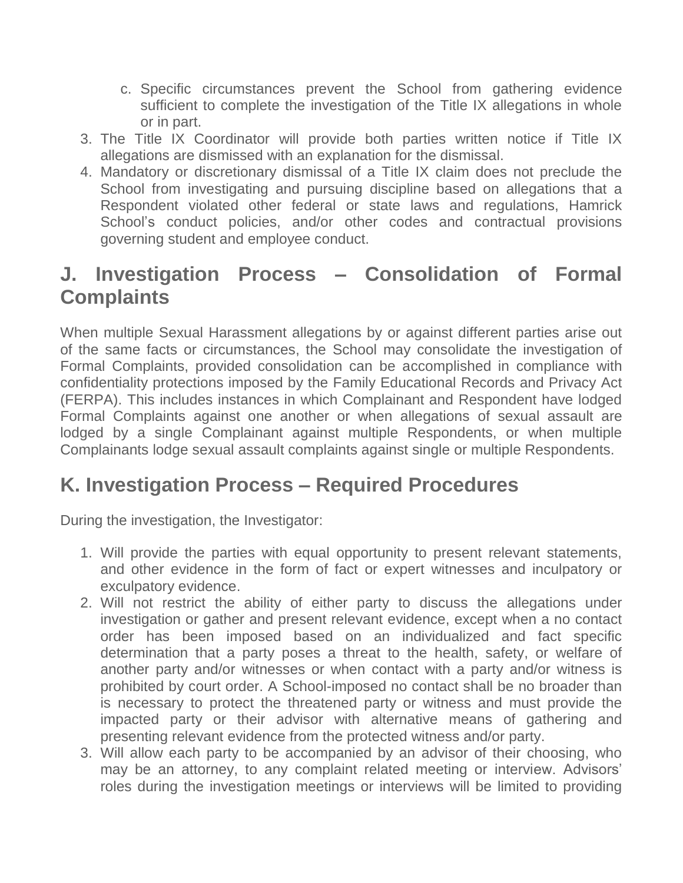- c. Specific circumstances prevent the School from gathering evidence sufficient to complete the investigation of the Title IX allegations in whole or in part.
- 3. The Title IX Coordinator will provide both parties written notice if Title IX allegations are dismissed with an explanation for the dismissal.
- 4. Mandatory or discretionary dismissal of a Title IX claim does not preclude the School from investigating and pursuing discipline based on allegations that a Respondent violated other federal or state laws and regulations, Hamrick School's conduct policies, and/or other codes and contractual provisions governing student and employee conduct.

## **J. Investigation Process – Consolidation of Formal Complaints**

When multiple Sexual Harassment allegations by or against different parties arise out of the same facts or circumstances, the School may consolidate the investigation of Formal Complaints, provided consolidation can be accomplished in compliance with confidentiality protections imposed by the Family Educational Records and Privacy Act (FERPA). This includes instances in which Complainant and Respondent have lodged Formal Complaints against one another or when allegations of sexual assault are lodged by a single Complainant against multiple Respondents, or when multiple Complainants lodge sexual assault complaints against single or multiple Respondents.

## **K. Investigation Process – Required Procedures**

During the investigation, the Investigator:

- 1. Will provide the parties with equal opportunity to present relevant statements, and other evidence in the form of fact or expert witnesses and inculpatory or exculpatory evidence.
- 2. Will not restrict the ability of either party to discuss the allegations under investigation or gather and present relevant evidence, except when a no contact order has been imposed based on an individualized and fact specific determination that a party poses a threat to the health, safety, or welfare of another party and/or witnesses or when contact with a party and/or witness is prohibited by court order. A School-imposed no contact shall be no broader than is necessary to protect the threatened party or witness and must provide the impacted party or their advisor with alternative means of gathering and presenting relevant evidence from the protected witness and/or party.
- 3. Will allow each party to be accompanied by an advisor of their choosing, who may be an attorney, to any complaint related meeting or interview. Advisors' roles during the investigation meetings or interviews will be limited to providing